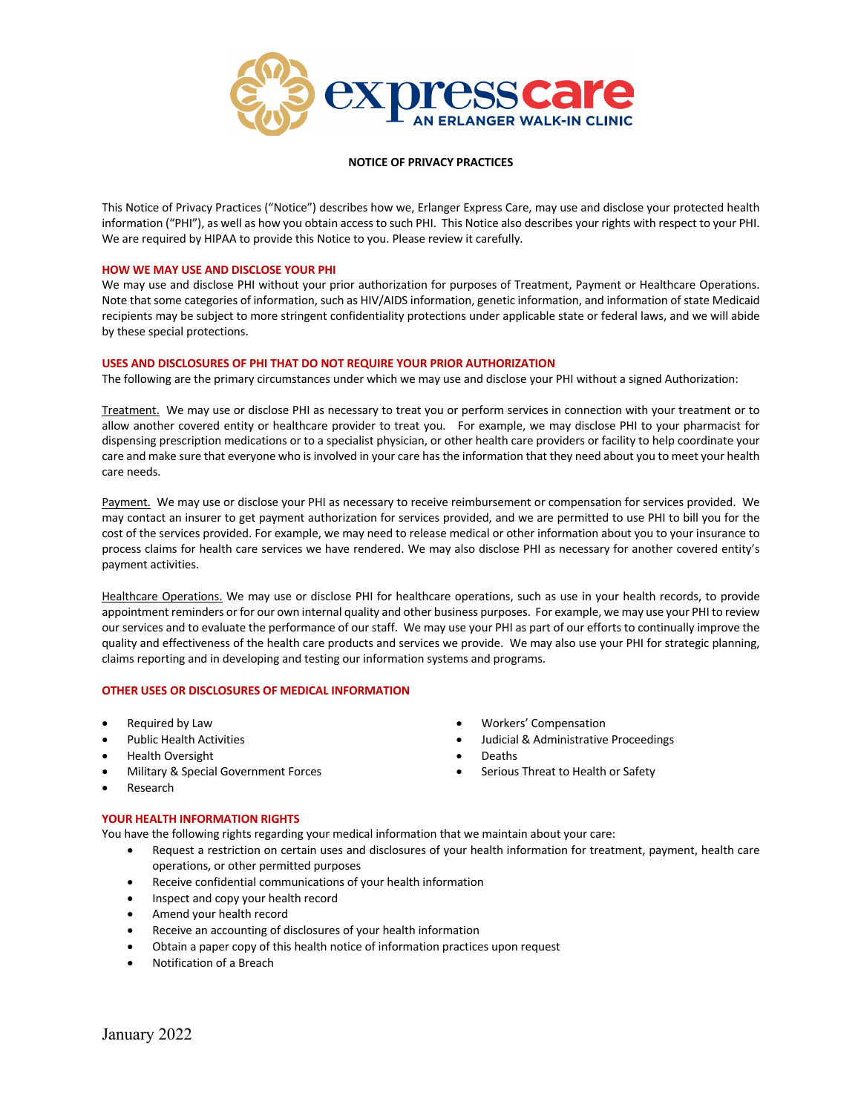

## **NOTICE OF PRIVACY PRACTICES**

This Notice of Privacy Practices ("Notice") describes how we, Erlanger Express Care, may use and disclose your protected health information ("PHI"), as well as how you obtain access to such PHI. This Notice also describes your rights with respect to your PHI. We are required by HIPAA to provide this Notice to you. Please review it carefully.

### **HOW WE MAY USE AND DISCLOSE YOUR PHI**

We may use and disclose PHI without your prior authorization for purposes of Treatment, Payment or Healthcare Operations. Note that some categories of information, such as HIV/AIDS information, genetic information, and information of state Medicaid recipients may be subject to more stringent confidentiality protections under applicable state or federal laws, and we will abide by these special protections.

#### **USES AND DISCLOSURES OF PHI THAT DO NOT REQUIRE YOUR PRIOR AUTHORIZATION**

The following are the primary circumstances under which we may use and disclose your PHI without a signed Authorization:

Treatment. We may use or disclose PHI as necessary to treat you or perform services in connection with your treatment or to allow another covered entity or healthcare provider to treat you. For example, we may disclose PHI to your pharmacist for dispensing prescription medications or to a specialist physician, or other health care providers or facility to help coordinate your care and make sure that everyone who is involved in your care has the information that they need about you to meet your health care needs.

Payment. We may use or disclose your PHI as necessary to receive reimbursement or compensation for services provided. We may contact an insurer to get payment authorization for services provided, and we are permitted to use PHI to bill you for the cost of the services provided. For example, we may need to release medical or other information about you to your insurance to process claims for health care services we have rendered. We may also disclose PHI as necessary for another covered entity's payment activities.

Healthcare Operations. We may use or disclose PHI for healthcare operations, such as use in your health records, to provide appointment reminders or for our own internal quality and other business purposes. For example, we may use your PHI to review our services and to evaluate the performance of our staff. We may use your PHI as part of our efforts to continually improve the quality and effectiveness of the health care products and services we provide. We may also use your PHI for strategic planning, claims reporting and in developing and testing our information systems and programs.

### **OTHER USES OR DISCLOSURES OF MEDICAL INFORMATION**

- Required by Law
- Public Health Activities
- Health Oversight
- Military & Special Government Forces
- Research

### **YOUR HEALTH INFORMATION RIGHTS**

You have the following rights regarding your medical information that we maintain about your care:

- Request a restriction on certain uses and disclosures of your health information for treatment, payment, health care operations, or other permitted purposes
- Receive confidential communications of your health information
- Inspect and copy your health record
- Amend your health record
- Receive an accounting of disclosures of your health information
- Obtain a paper copy of this health notice of information practices upon request
- Notification of a Breach
- Workers' Compensation
- Judicial & Administrative Proceedings
- Deaths
- Serious Threat to Health or Safety